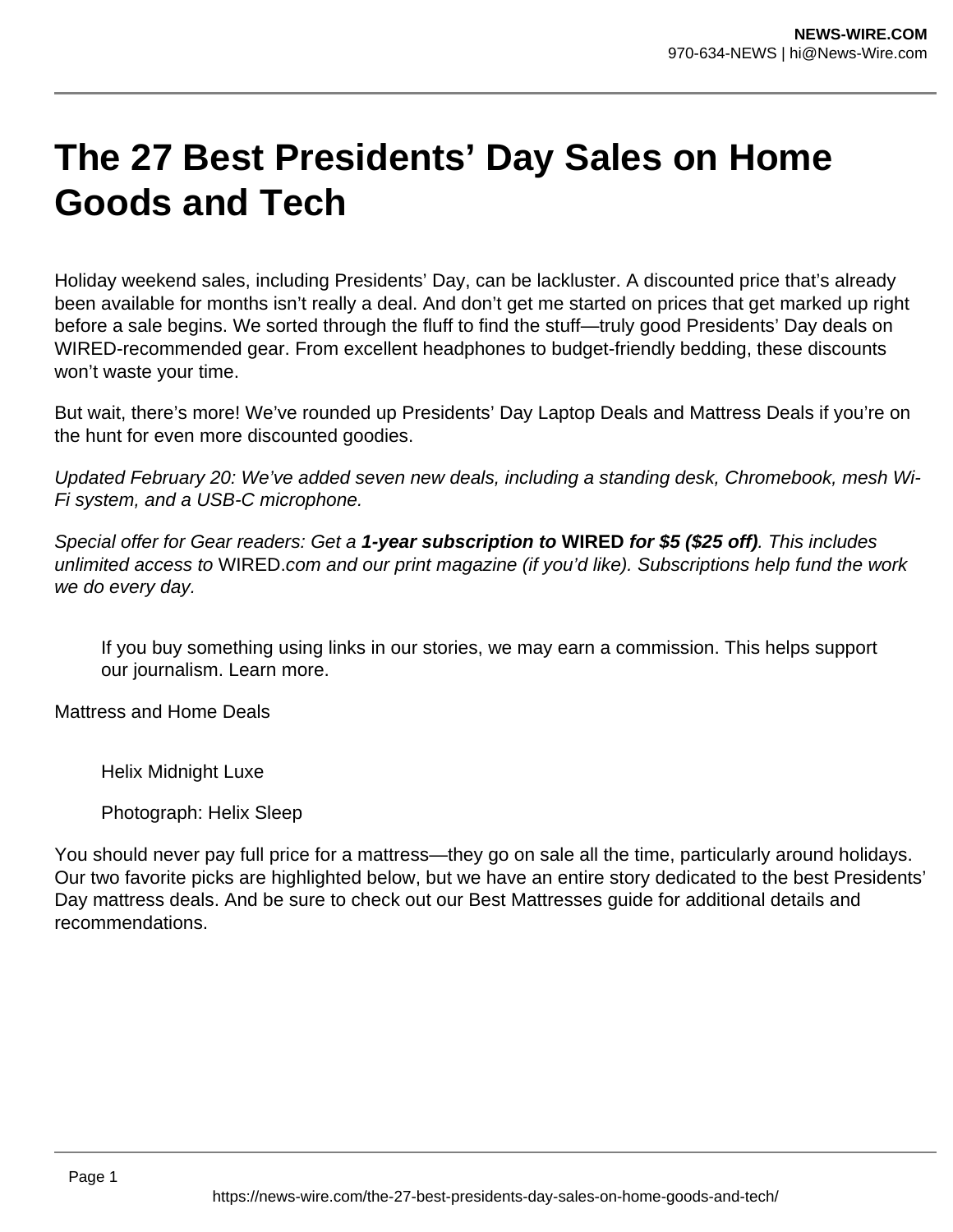## **The 27 Best Presidents' Day Sales on Home Goods and Tech**

Holiday weekend sales, including Presidents' Day, can be lackluster. A discounted price that's already been available for months isn't really a deal. And don't get me started on prices that get marked up right before a sale begins. We sorted through the fluff to find the stuff—truly good Presidents' Day deals on WIRED-recommended gear. From excellent headphones to budget-friendly bedding, these discounts won't waste your time.

But wait, there's more! We've rounded up Presidents' Day Laptop Deals and Mattress Deals if you're on the hunt for even more discounted goodies.

Updated February 20: We've added seven new deals, including a standing desk, Chromebook, mesh Wi-Fi system, and a USB-C microphone.

Special offer for Gear readers: Get a **1-year subscription to WIRED for \$5 (\$25 off)**. This includes unlimited access to WIRED.com and our print magazine (if you'd like). Subscriptions help fund the work we do every day.

If you buy something using links in our stories, we may earn a commission. This helps support our journalism. Learn more.

Mattress and Home Deals

Helix Midnight Luxe

Photograph: Helix Sleep

You should never pay full price for a mattress—they go on sale all the time, particularly around holidays. Our two favorite picks are highlighted below, but we have an entire story dedicated to the best Presidents' Day mattress deals. And be sure to check out our Best Mattresses guide for additional details and recommendations.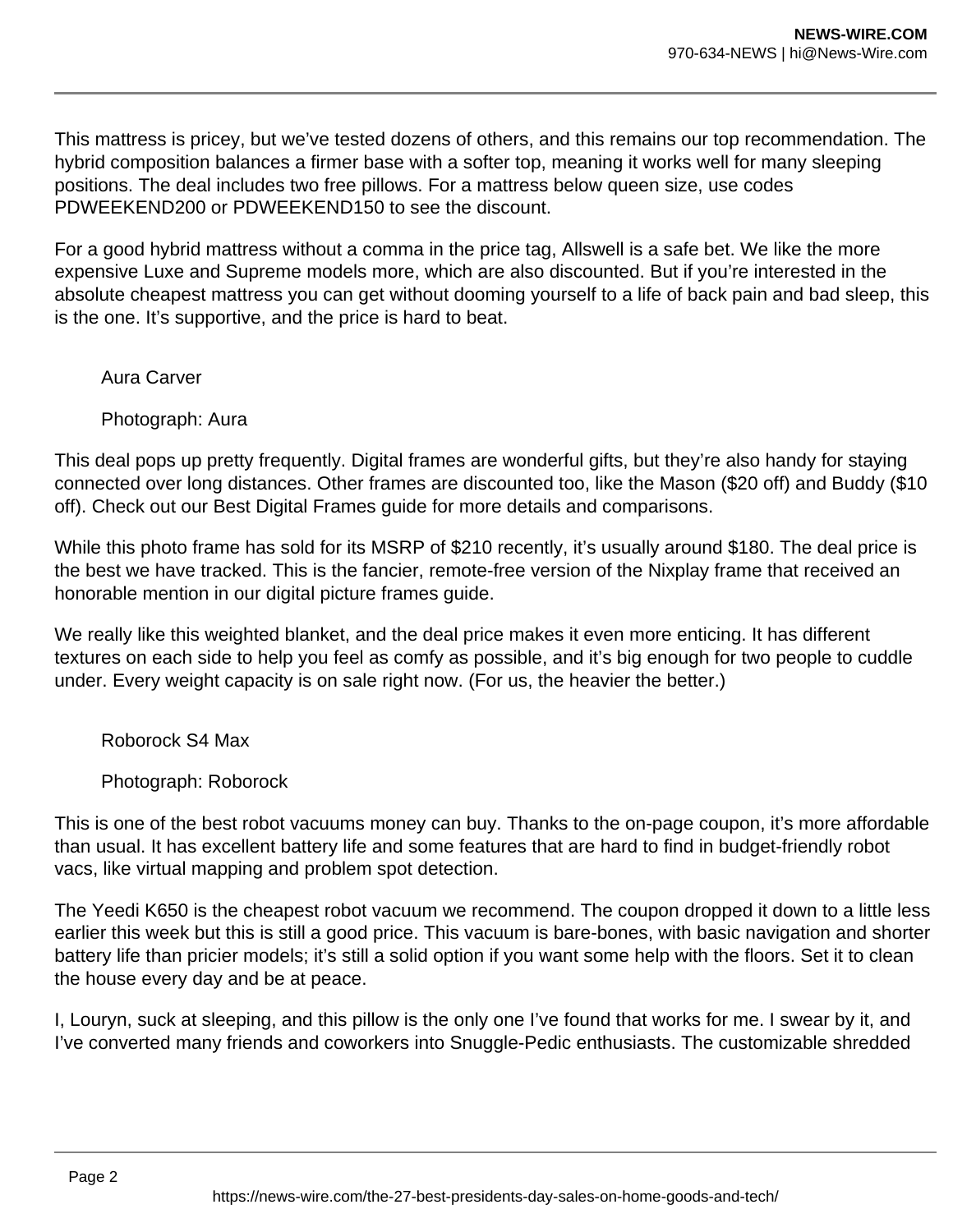This mattress is pricey, but we've tested dozens of others, and this remains our top recommendation. The hybrid composition balances a firmer base with a softer top, meaning it works well for many sleeping positions. The deal includes two free pillows. For a mattress below queen size, use codes PDWEEKEND200 or PDWEEKEND150 to see the discount.

For a good hybrid mattress without a comma in the price tag, Allswell is a safe bet. We like the more expensive Luxe and Supreme models more, which are also discounted. But if you're interested in the absolute cheapest mattress you can get without dooming yourself to a life of back pain and bad sleep, this is the one. It's supportive, and the price is hard to beat.

Aura Carver

Photograph: Aura

This deal pops up pretty frequently. Digital frames are wonderful gifts, but they're also handy for staying connected over long distances. Other frames are discounted too, like the Mason (\$20 off) and Buddy (\$10 off). Check out our Best Digital Frames guide for more details and comparisons.

While this photo frame has sold for its MSRP of \$210 recently, it's usually around \$180. The deal price is the best we have tracked. This is the fancier, remote-free version of the Nixplay frame that received an honorable mention in our digital picture frames guide.

We really like this weighted blanket, and the deal price makes it even more enticing. It has different textures on each side to help you feel as comfy as possible, and it's big enough for two people to cuddle under. Every weight capacity is on sale right now. (For us, the heavier the better.)

Roborock S4 Max

Photograph: Roborock

This is one of the best robot vacuums money can buy. Thanks to the on-page coupon, it's more affordable than usual. It has excellent battery life and some features that are hard to find in budget-friendly robot vacs, like virtual mapping and problem spot detection.

The Yeedi K650 is the cheapest robot vacuum we recommend. The coupon dropped it down to a little less earlier this week but this is still a good price. This vacuum is bare-bones, with basic navigation and shorter battery life than pricier models; it's still a solid option if you want some help with the floors. Set it to clean the house every day and be at peace.

I, Louryn, suck at sleeping, and this pillow is the only one I've found that works for me. I swear by it, and I've converted many friends and coworkers into Snuggle-Pedic enthusiasts. The customizable shredded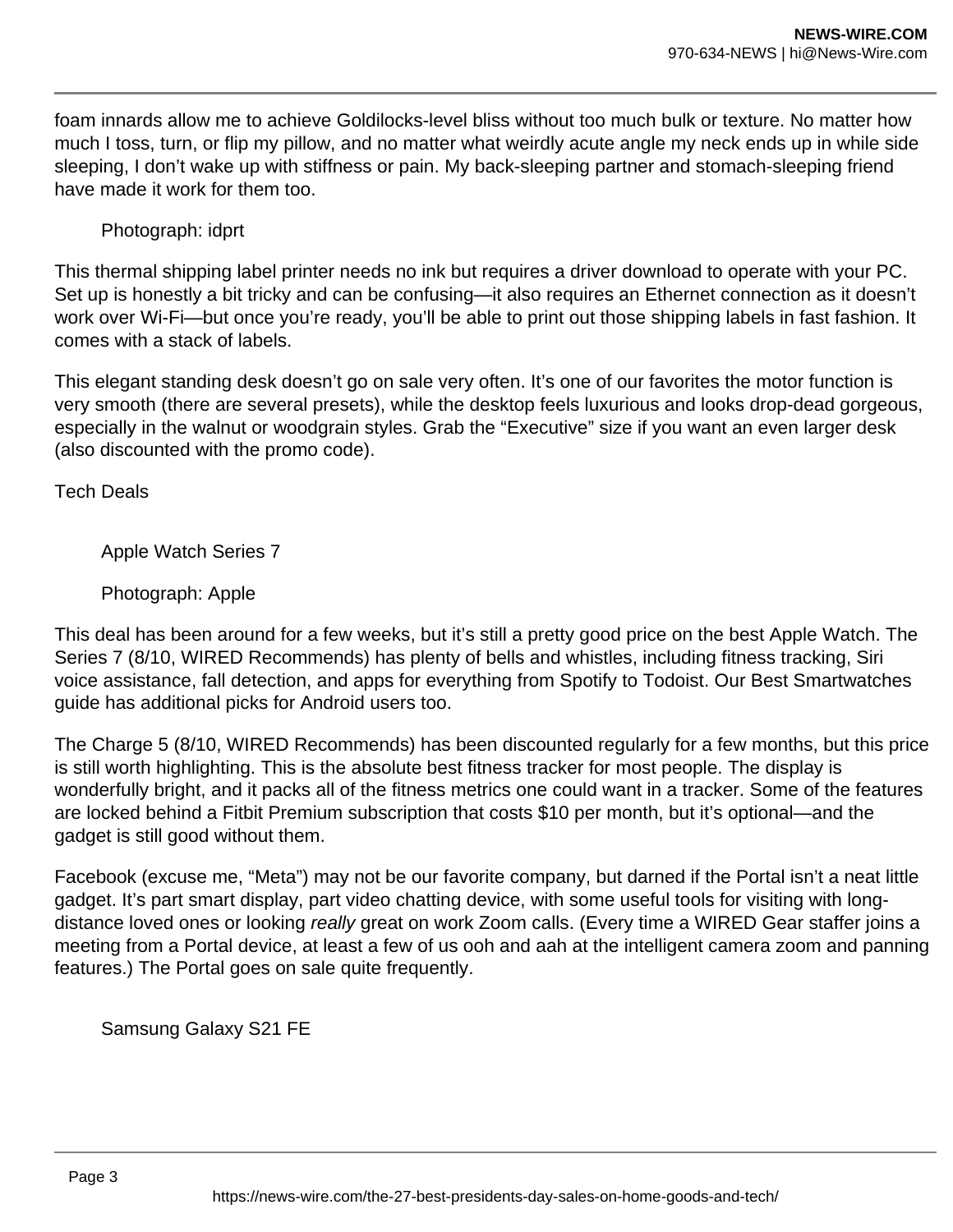foam innards allow me to achieve Goldilocks-level bliss without too much bulk or texture. No matter how much I toss, turn, or flip my pillow, and no matter what weirdly acute angle my neck ends up in while side sleeping, I don't wake up with stiffness or pain. My back-sleeping partner and stomach-sleeping friend have made it work for them too.

Photograph: idprt

This thermal shipping label printer needs no ink but requires a driver download to operate with your PC. Set up is honestly a bit tricky and can be confusing—it also requires an Ethernet connection as it doesn't work over Wi-Fi—but once you're ready, you'll be able to print out those shipping labels in fast fashion. It comes with a stack of labels.

This elegant standing desk doesn't go on sale very often. It's one of our favorites the motor function is very smooth (there are several presets), while the desktop feels luxurious and looks drop-dead gorgeous, especially in the walnut or woodgrain styles. Grab the "Executive" size if you want an even larger desk (also discounted with the promo code).

Tech Deals

Apple Watch Series 7

Photograph: Apple

This deal has been around for a few weeks, but it's still a pretty good price on the best Apple Watch. The Series 7 (8/10, WIRED Recommends) has plenty of bells and whistles, including fitness tracking, Siri voice assistance, fall detection, and apps for everything from Spotify to Todoist. Our Best Smartwatches guide has additional picks for Android users too.

The Charge 5 (8/10, WIRED Recommends) has been discounted regularly for a few months, but this price is still worth highlighting. This is the absolute best fitness tracker for most people. The display is wonderfully bright, and it packs all of the fitness metrics one could want in a tracker. Some of the features are locked behind a Fitbit Premium subscription that costs \$10 per month, but it's optional—and the gadget is still good without them.

Facebook (excuse me, "Meta") may not be our favorite company, but darned if the Portal isn't a neat little gadget. It's part smart display, part video chatting device, with some useful tools for visiting with longdistance loved ones or looking really great on work Zoom calls. (Every time a WIRED Gear staffer joins a meeting from a Portal device, at least a few of us ooh and aah at the intelligent camera zoom and panning features.) The Portal goes on sale quite frequently.

Samsung Galaxy S21 FE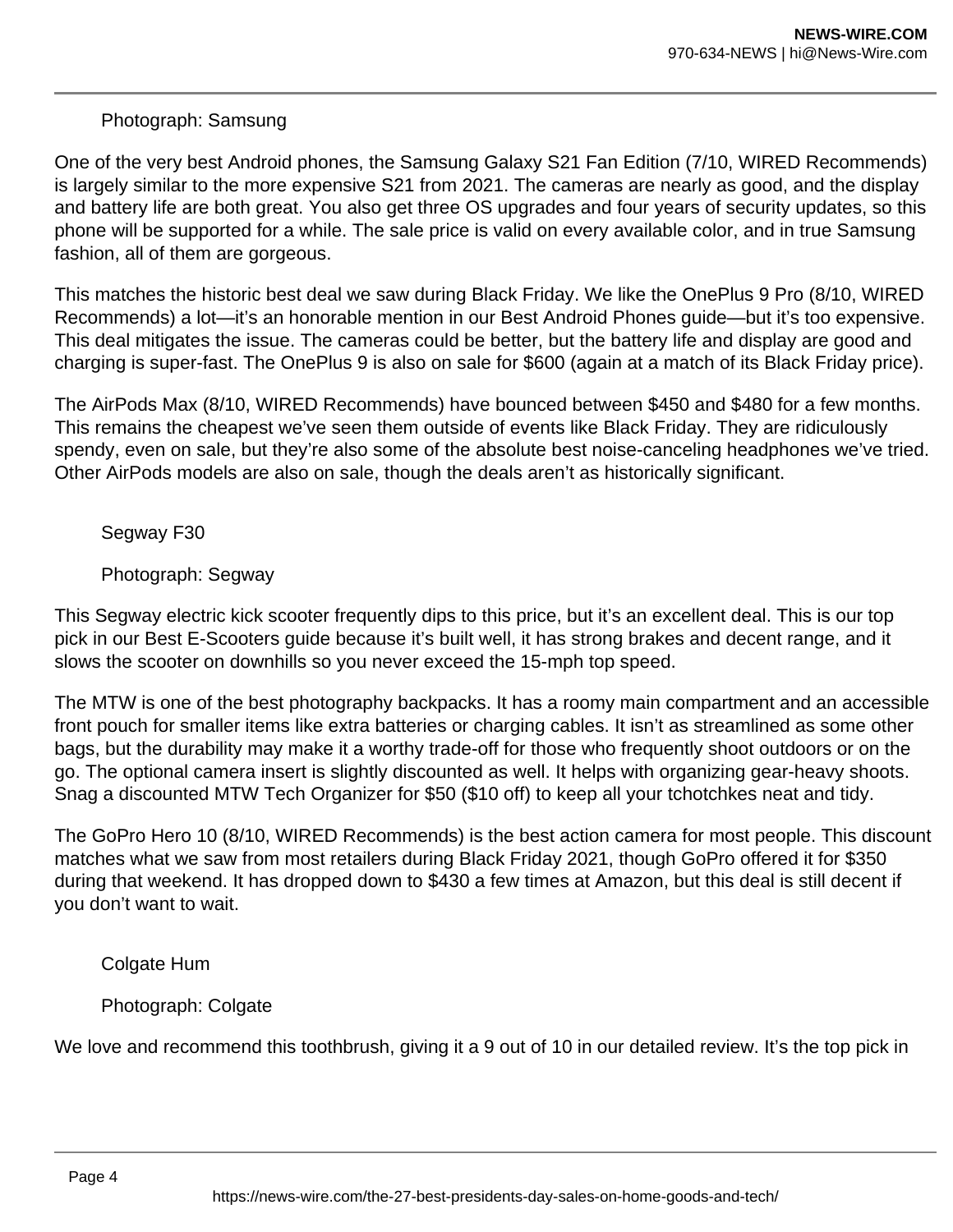## Photograph: Samsung

One of the very best Android phones, the Samsung Galaxy S21 Fan Edition (7/10, WIRED Recommends) is largely similar to the more expensive S21 from 2021. The cameras are nearly as good, and the display and battery life are both great. You also get three OS upgrades and four years of security updates, so this phone will be supported for a while. The sale price is valid on every available color, and in true Samsung fashion, all of them are gorgeous.

This matches the historic best deal we saw during Black Friday. We like the OnePlus 9 Pro (8/10, WIRED Recommends) a lot—it's an honorable mention in our Best Android Phones guide—but it's too expensive. This deal mitigates the issue. The cameras could be better, but the battery life and display are good and charging is super-fast. The OnePlus 9 is also on sale for \$600 (again at a match of its Black Friday price).

The AirPods Max (8/10, WIRED Recommends) have bounced between \$450 and \$480 for a few months. This remains the cheapest we've seen them outside of events like Black Friday. They are ridiculously spendy, even on sale, but they're also some of the absolute best noise-canceling headphones we've tried. Other AirPods models are also on sale, though the deals aren't as historically significant.

Segway F30

Photograph: Segway

This Segway electric kick scooter frequently dips to this price, but it's an excellent deal. This is our top pick in our Best E-Scooters guide because it's built well, it has strong brakes and decent range, and it slows the scooter on downhills so you never exceed the 15-mph top speed.

The MTW is one of the best photography backpacks. It has a roomy main compartment and an accessible front pouch for smaller items like extra batteries or charging cables. It isn't as streamlined as some other bags, but the durability may make it a worthy trade-off for those who frequently shoot outdoors or on the go. The optional camera insert is slightly discounted as well. It helps with organizing gear-heavy shoots. Snag a discounted MTW Tech Organizer for \$50 (\$10 off) to keep all your tchotchkes neat and tidy.

The GoPro Hero 10 (8/10, WIRED Recommends) is the best action camera for most people. This discount matches what we saw from most retailers during Black Friday 2021, though GoPro offered it for \$350 during that weekend. It has dropped down to \$430 a few times at Amazon, but this deal is still decent if you don't want to wait.

Colgate Hum

Photograph: Colgate

We love and recommend this toothbrush, giving it a 9 out of 10 in our detailed review. It's the top pick in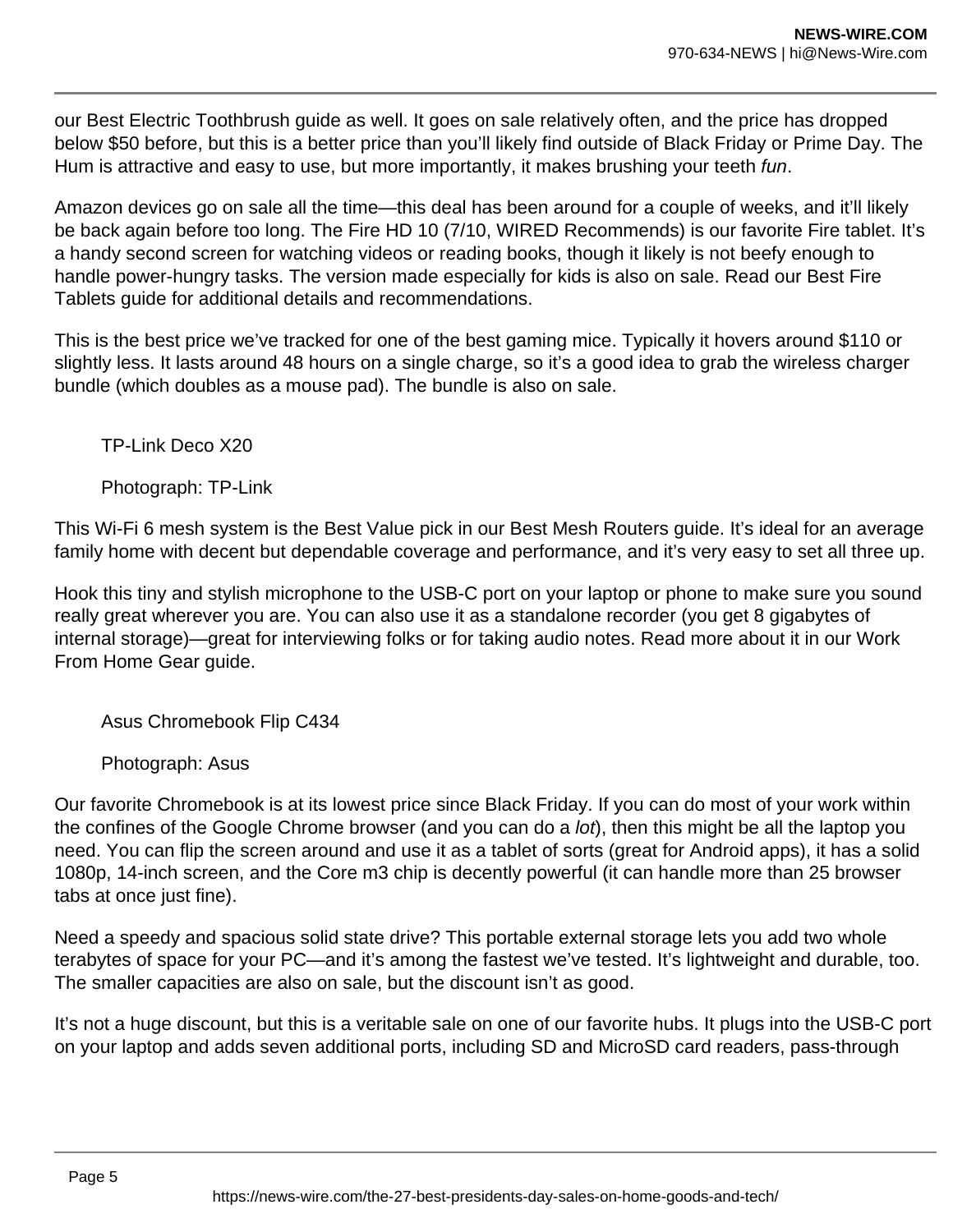our Best Electric Toothbrush guide as well. It goes on sale relatively often, and the price has dropped below \$50 before, but this is a better price than you'll likely find outside of Black Friday or Prime Day. The Hum is attractive and easy to use, but more importantly, it makes brushing your teeth fun.

Amazon devices go on sale all the time—this deal has been around for a couple of weeks, and it'll likely be back again before too long. The Fire HD 10 (7/10, WIRED Recommends) is our favorite Fire tablet. It's a handy second screen for watching videos or reading books, though it likely is not beefy enough to handle power-hungry tasks. The version made especially for kids is also on sale. Read our Best Fire Tablets guide for additional details and recommendations.

This is the best price we've tracked for one of the best gaming mice. Typically it hovers around \$110 or slightly less. It lasts around 48 hours on a single charge, so it's a good idea to grab the wireless charger bundle (which doubles as a mouse pad). The bundle is also on sale.

TP-Link Deco X20

Photograph: TP-Link

This Wi-Fi 6 mesh system is the Best Value pick in our Best Mesh Routers guide. It's ideal for an average family home with decent but dependable coverage and performance, and it's very easy to set all three up.

Hook this tiny and stylish microphone to the USB-C port on your laptop or phone to make sure you sound really great wherever you are. You can also use it as a standalone recorder (you get 8 gigabytes of internal storage)—great for interviewing folks or for taking audio notes. Read more about it in our Work From Home Gear guide.

Asus Chromebook Flip C434

Photograph: Asus

Our favorite Chromebook is at its lowest price since Black Friday. If you can do most of your work within the confines of the Google Chrome browser (and you can do a lot), then this might be all the laptop you need. You can flip the screen around and use it as a tablet of sorts (great for Android apps), it has a solid 1080p, 14-inch screen, and the Core m3 chip is decently powerful (it can handle more than 25 browser tabs at once just fine).

Need a speedy and spacious solid state drive? This portable external storage lets you add two whole terabytes of space for your PC—and it's among the fastest we've tested. It's lightweight and durable, too. The smaller capacities are also on sale, but the discount isn't as good.

It's not a huge discount, but this is a veritable sale on one of our favorite hubs. It plugs into the USB-C port on your laptop and adds seven additional ports, including SD and MicroSD card readers, pass-through